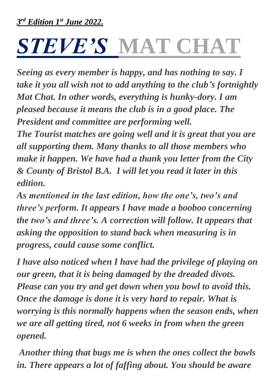# *STEVE'S* **MAT CHAT**

*Seeing as every member is happy, and has nothing to say. I take it you all wish not to add anything to the club's fortnightly Mat Chat. In other words, everything is hunky-dory. I am pleased because it means the club is in a good place. The President and committee are performing well.* 

*The Tourist matches are going well and it is great that you are all supporting them. Many thanks to all those members who make it happen. We have had a thank you letter from the City & County of Bristol B.A. I will let you read it later in this edition.* 

*As mentioned in the last edition, how the one's, two's and three's perform. It appears I have made a booboo concerning the two's and three's. A correction will follow. It appears that asking the opposition to stand back when measuring is in progress, could cause some conflict.* 

*I have also noticed when I have had the privilege of playing on our green, that it is being damaged by the dreaded divots. Please can you try and get down when you bowl to avoid this. Once the damage is done it is very hard to repair. What is worrying is this normally happens when the season ends, when we are all getting tired, not 6 weeks in from when the green opened.* 

*Another thing that bugs me is when the ones collect the bowls in. There appears a lot of faffing about. You should be aware*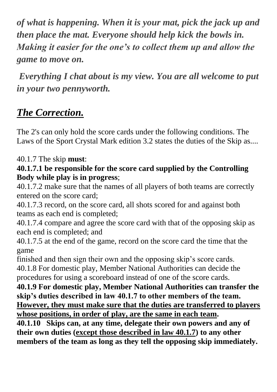*of what is happening. When it is your mat, pick the jack up and then place the mat. Everyone should help kick the bowls in. Making it easier for the one's to collect them up and allow the game to move on.*

*Everything I chat about is my view. You are all welcome to put in your two pennyworth.*

## *The Correction.*

The 2's can only hold the score cards under the following conditions. The Laws of the Sport Crystal Mark edition 3.2 states the duties of the Skip as....

### 40.1.7 The skip **must**:

#### **40.1.7.1 be responsible for the score card supplied by the Controlling Body while play is in progress**;

40.1.7.2 make sure that the names of all players of both teams are correctly entered on the score card;

40.1.7.3 record, on the score card, all shots scored for and against both teams as each end is completed;

40.1.7.4 compare and agree the score card with that of the opposing skip as each end is completed; and

40.1.7.5 at the end of the game, record on the score card the time that the game

finished and then sign their own and the opposing skip's score cards. 40.1.8 For domestic play, Member National Authorities can decide the procedures for using a scoreboard instead of one of the score cards.

**40.1.9 For domestic play, Member National Authorities can transfer the skip's duties described in law 40.1.7 to other members of the team. However, they must make sure that the duties are transferred to players whose positions, in order of play, are the same in each team.**

**40.1.10 Skips can, at any time, delegate their own powers and any of their own duties (except those described in law 40.1.7) to any other members of the team as long as they tell the opposing skip immediately.**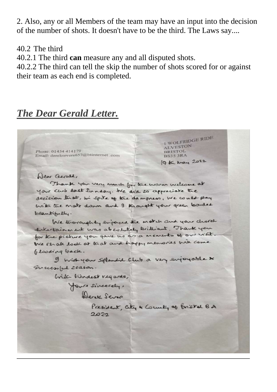2. Also, any or all Members of the team may have an input into the decision of the number of shots. It doesn't have to be the third. The Laws say....

40.2 The third

40.2.1 The third **can** measure any and all disputed shots.

40.2.2 The third can tell the skip the number of shots scored for or against their team as each end is completed.

## *The Dear Gerald Letter.*

Phone: 01454 414179 Email: dereksevers657@btinternet .com

L WOLFRIDGE RIDE ALVESTON **BRISTOL BS35 3RA** 19 KG May 2022

Dear Gerald,

Thank you very much for the warm wilcome at your curb last Sunday. We did to appreciate the decision that, in spite of the dampness, we could play with the mate down and I knowalt your green bonded beautifully.

We troroughty enjoyed the match and your chorel entertainment was abcolutely kriticant. Thank you for the picture you gave us as a mements of our visit. We shall look at that and happy memories with come Glooding back.

I wish your splendid Club a very enjoyable x Successful season.

With Kindest vegards,

Your sincercly,

President, city & County of Bristal BA  $2022$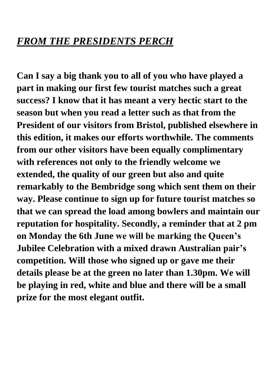**Can I say a big thank you to all of you who have played a part in making our first few tourist matches such a great success? I know that it has meant a very hectic start to the season but when you read a letter such as that from the President of our visitors from Bristol, published elsewhere in this edition, it makes our efforts worthwhile. The comments from our other visitors have been equally complimentary with references not only to the friendly welcome we extended, the quality of our green but also and quite remarkably to the Bembridge song which sent them on their way. Please continue to sign up for future tourist matches so that we can spread the load among bowlers and maintain our reputation for hospitality. Secondly, a reminder that at 2 pm on Monday the 6th June we will be marking the Queen's Jubilee Celebration with a mixed drawn Australian pair's competition. Will those who signed up or gave me their details please be at the green no later than 1.30pm. We will be playing in red, white and blue and there will be a small prize for the most elegant outfit.**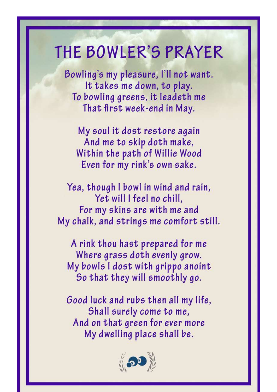## THE BOWLER'S PRAYER

Bowling's my pleasure, I'll not want. It takes me down, to play. To bowling greens, it leadeth me That first week-end in May.

My soul it dost restore again And me to skip doth make, Within the path of Willie Wood Even for my rink's own sake.

Yea, though I bowl in wind and rain, Yet will I feel no chill. For my skins are with me and My chalk, and strings me comfort still.

A rink thou hast prepared for me Where grass doth evenly grow. My bowls I dost with grippo anoint So that they will smoothly go.

Good luck and rubs then all my life, Shall surely come to me, And on that green for ever more My dwelling place shall be.

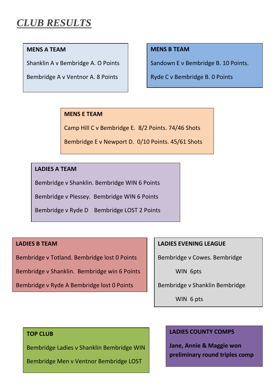## *CLUB RESULTS*

#### **MENS A TEAM**

Shanklin A v Bembridge A. O Points

Bembridge A v Ventnor A. 8 Points

#### **MENS B TEAM**

Sandown E v Bembridge B. 10 Points.

Ryde C v Bembridge B. 0 Points

#### **MENS E TEAM**

Camp Hill C v Bembridge E. 8/2 Points. 74/46 Shots

Bembridge E v Newport D. 0/10 Points. 45/61 Shots

#### **LADIES A TEAM**

Bembridge v Shanklin. Bembridge WIN 6 Points

Bembridge v Plessey. Bembridge WIN 6 Points

Bembridge v Ryde D Bembridge LOST 2 Points

#### **LADIES B TEAM**

Bembridge v Totland. Bembridge lost 0 Points

Bembridge v Shanklin. Bembridge win 6 Points

Bembridge v Ryde A Bembridge lost 0 Points

#### **LADIES EVENING LEAGUE**

Bembridge v Cowes. Bembridge

WIN 6pts

Bembridge v Shanklin Bembridge

WIN 6 pts

#### **TOP CLUB**

Bembridge Ladies v Shanklin Bembridge WIN

Bembridge Men v Ventnor Bembridge LOST

#### **LADIES COUNTY COMPS**

**Jane, Annie & Maggie won preliminary round triples comp**